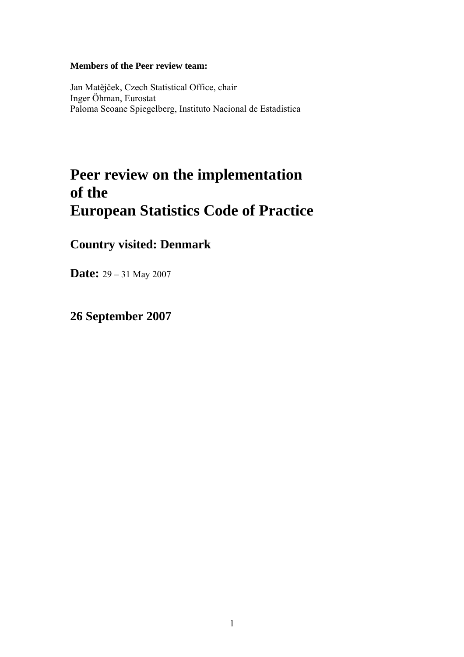#### **Members of the Peer review team:**

Jan Matějček, Czech Statistical Office, chair Inger Öhman, Eurostat Paloma Seoane Spiegelberg, Instituto Nacional de Estadistica

# **Peer review on the implementation of the European Statistics Code of Practice**

## **Country visited: Denmark**

**Date:** 29 – 31 May 2007

## **26 September 2007**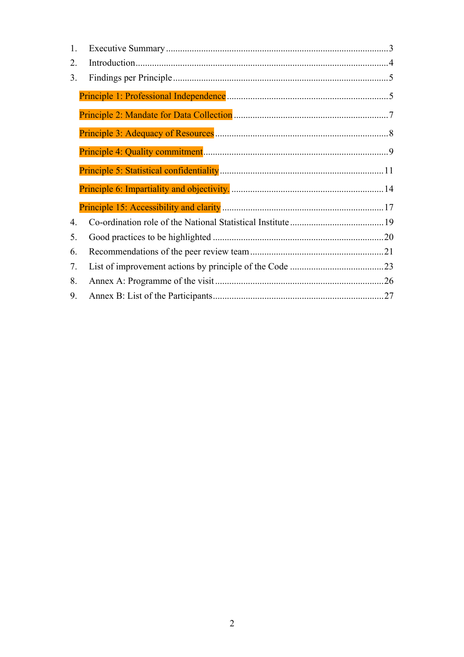| 1. |  |
|----|--|
| 2. |  |
| 3. |  |
|    |  |
|    |  |
|    |  |
|    |  |
|    |  |
|    |  |
|    |  |
| 4. |  |
| 5. |  |
| 6. |  |
| 7. |  |
| 8. |  |
| 9. |  |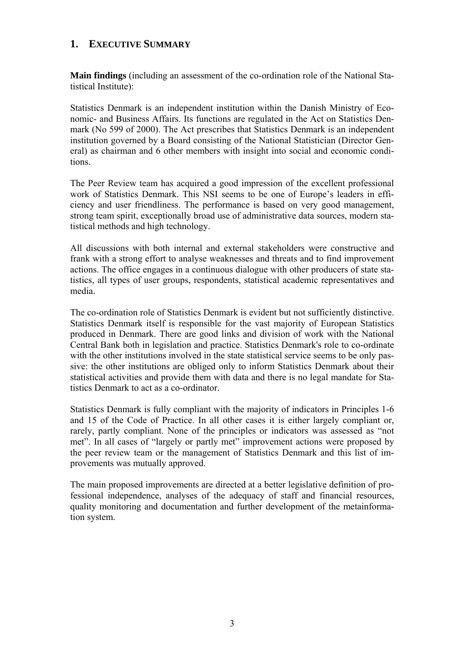## <span id="page-2-0"></span>**1. EXECUTIVE SUMMARY**

**Main findings** (including an assessment of the co-ordination role of the National Statistical Institute):

Statistics Denmark is an independent institution within the Danish Ministry of Economic- and Business Affairs. Its functions are regulated in the Act on Statistics Denmark (No 599 of 2000). The Act prescribes that Statistics Denmark is an independent institution governed by a Board consisting of the National Statistician (Director General) as chairman and 6 other members with insight into social and economic conditions.

The Peer Review team has acquired a good impression of the excellent professional work of Statistics Denmark. This NSI seems to be one of Europe's leaders in efficiency and user friendliness. The performance is based on very good management, strong team spirit, exceptionally broad use of administrative data sources, modern statistical methods and high technology.

All discussions with both internal and external stakeholders were constructive and frank with a strong effort to analyse weaknesses and threats and to find improvement actions. The office engages in a continuous dialogue with other producers of state statistics, all types of user groups, respondents, statistical academic representatives and media.

The co-ordination role of Statistics Denmark is evident but not sufficiently distinctive. Statistics Denmark itself is responsible for the vast majority of European Statistics produced in Denmark. There are good links and division of work with the National Central Bank both in legislation and practice. Statistics Denmark's role to co-ordinate with the other institutions involved in the state statistical service seems to be only passive: the other institutions are obliged only to inform Statistics Denmark about their statistical activities and provide them with data and there is no legal mandate for Statistics Denmark to act as a co-ordinator.

Statistics Denmark is fully compliant with the majority of indicators in Principles 1-6 and 15 of the Code of Practice. In all other cases it is either largely compliant or, rarely, partly compliant. None of the principles or indicators was assessed as "not met". In all cases of "largely or partly met" improvement actions were proposed by the peer review team or the management of Statistics Denmark and this list of improvements was mutually approved.

The main proposed improvements are directed at a better legislative definition of professional independence, analyses of the adequacy of staff and financial resources, quality monitoring and documentation and further development of the metainformation system.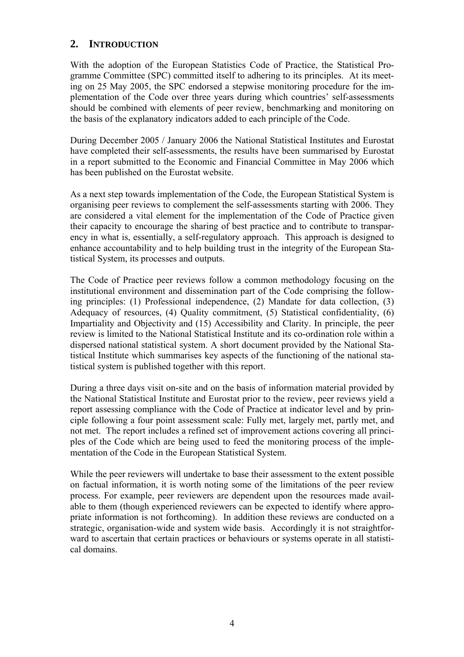## <span id="page-3-0"></span>**2. INTRODUCTION**

With the adoption of the European Statistics Code of Practice, the Statistical Programme Committee (SPC) committed itself to adhering to its principles. At its meeting on 25 May 2005, the SPC endorsed a stepwise monitoring procedure for the implementation of the Code over three years during which countries' self-assessments should be combined with elements of peer review, benchmarking and monitoring on the basis of the explanatory indicators added to each principle of the Code.

During December 2005 / January 2006 the National Statistical Institutes and Eurostat have completed their self-assessments, the results have been summarised by Eurostat in a report submitted to the Economic and Financial Committee in May 2006 which has been published on the Eurostat website.

As a next step towards implementation of the Code, the European Statistical System is organising peer reviews to complement the self-assessments starting with 2006. They are considered a vital element for the implementation of the Code of Practice given their capacity to encourage the sharing of best practice and to contribute to transparency in what is, essentially, a self-regulatory approach. This approach is designed to enhance accountability and to help building trust in the integrity of the European Statistical System, its processes and outputs.

The Code of Practice peer reviews follow a common methodology focusing on the institutional environment and dissemination part of the Code comprising the following principles: (1) Professional independence, (2) Mandate for data collection, (3) Adequacy of resources, (4) Quality commitment, (5) Statistical confidentiality, (6) Impartiality and Objectivity and (15) Accessibility and Clarity. In principle, the peer review is limited to the National Statistical Institute and its co-ordination role within a dispersed national statistical system. A short document provided by the National Statistical Institute which summarises key aspects of the functioning of the national statistical system is published together with this report.

During a three days visit on-site and on the basis of information material provided by the National Statistical Institute and Eurostat prior to the review, peer reviews yield a report assessing compliance with the Code of Practice at indicator level and by principle following a four point assessment scale: Fully met, largely met, partly met, and not met. The report includes a refined set of improvement actions covering all principles of the Code which are being used to feed the monitoring process of the implementation of the Code in the European Statistical System.

While the peer reviewers will undertake to base their assessment to the extent possible on factual information, it is worth noting some of the limitations of the peer review process. For example, peer reviewers are dependent upon the resources made available to them (though experienced reviewers can be expected to identify where appropriate information is not forthcoming). In addition these reviews are conducted on a strategic, organisation-wide and system wide basis. Accordingly it is not straightforward to ascertain that certain practices or behaviours or systems operate in all statistical domains.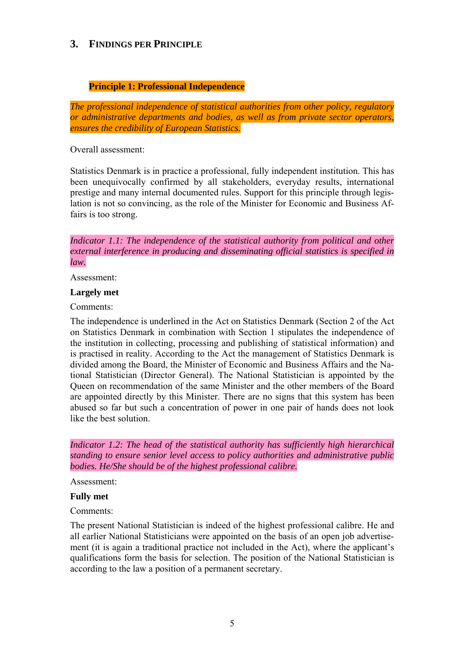## <span id="page-4-0"></span>**3. FINDINGS PER PRINCIPLE**

### **Principle 1: Professional Independence**

<span id="page-4-1"></span>*The professional independence of statistical authorities from other policy, regulatory or administrative departments and bodies, as well as from private sector operators, ensures the credibility of European Statistics.* 

Overall assessment:

Statistics Denmark is in practice a professional, fully independent institution. This has been unequivocally confirmed by all stakeholders, everyday results, international prestige and many internal documented rules. Support for this principle through legislation is not so convincing, as the role of the Minister for Economic and Business Affairs is too strong.

*Indicator 1.1: The independence of the statistical authority from political and other external interference in producing and disseminating official statistics is specified in law.* 

Assessment:

#### **Largely met**

Comments:

The independence is underlined in the Act on Statistics Denmark (Section 2 of the Act on Statistics Denmark in combination with Section 1 stipulates the independence of the institution in collecting, processing and publishing of statistical information) and is practised in reality. According to the Act the management of Statistics Denmark is divided among the Board, the Minister of Economic and Business Affairs and the National Statistician (Director General). The National Statistician is appointed by the Queen on recommendation of the same Minister and the other members of the Board are appointed directly by this Minister. There are no signs that this system has been abused so far but such a concentration of power in one pair of hands does not look like the best solution.

*Indicator 1.2: The head of the statistical authority has sufficiently high hierarchical standing to ensure senior level access to policy authorities and administrative public bodies. He/She should be of the highest professional calibre.* 

Assessment:

#### **Fully met**

#### Comments:

The present National Statistician is indeed of the highest professional calibre. He and all earlier National Statisticians were appointed on the basis of an open job advertisement (it is again a traditional practice not included in the Act), where the applicant's qualifications form the basis for selection. The position of the National Statistician is according to the law a position of a permanent secretary.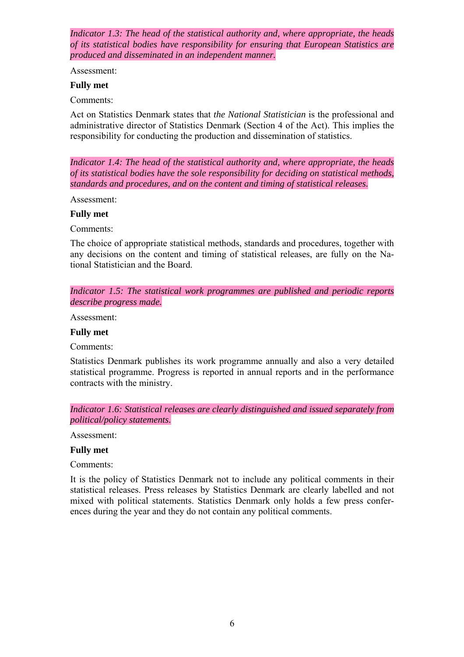*Indicator 1.3: The head of the statistical authority and, where appropriate, the heads of its statistical bodies have responsibility for ensuring that European Statistics are produced and disseminated in an independent manner.* 

Assessment:

#### **Fully met**

Comments:

Act on Statistics Denmark states that *the National Statistician* is the professional and administrative director of Statistics Denmark (Section 4 of the Act). This implies the responsibility for conducting the production and dissemination of statistics.

*Indicator 1.4: The head of the statistical authority and, where appropriate, the heads of its statistical bodies have the sole responsibility for deciding on statistical methods, standards and procedures, and on the content and timing of statistical releases.* 

Assessment:

#### **Fully met**

Comments:

The choice of appropriate statistical methods, standards and procedures, together with any decisions on the content and timing of statistical releases, are fully on the National Statistician and the Board.

*Indicator 1.5: The statistical work programmes are published and periodic reports describe progress made.* 

Assessment:

#### **Fully met**

Comments:

Statistics Denmark publishes its work programme annually and also a very detailed statistical programme. Progress is reported in annual reports and in the performance contracts with the ministry.

*Indicator 1.6: Statistical releases are clearly distinguished and issued separately from political/policy statements.* 

Assessment:

#### **Fully met**

Comments:

It is the policy of Statistics Denmark not to include any political comments in their statistical releases. Press releases by Statistics Denmark are clearly labelled and not mixed with political statements. Statistics Denmark only holds a few press conferences during the year and they do not contain any political comments.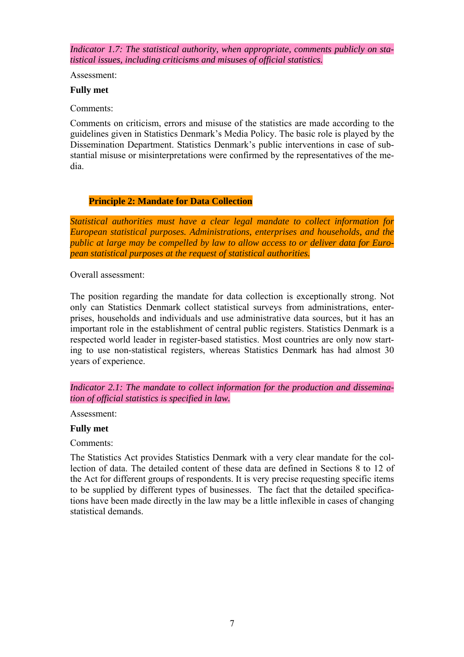*Indicator 1.7: The statistical authority, when appropriate, comments publicly on statistical issues, including criticisms and misuses of official statistics.* 

Assessment:

#### **Fully met**

Comments:

Comments on criticism, errors and misuse of the statistics are made according to the guidelines given in Statistics Denmark's Media Policy. The basic role is played by the Dissemination Department. Statistics Denmark's public interventions in case of substantial misuse or misinterpretations were confirmed by the representatives of the media.

#### **Principle 2: Mandate for Data Collection**

<span id="page-6-0"></span>*Statistical authorities must have a clear legal mandate to collect information for European statistical purposes. Administrations, enterprises and households, and the public at large may be compelled by law to allow access to or deliver data for European statistical purposes at the request of statistical authorities.* 

Overall assessment:

The position regarding the mandate for data collection is exceptionally strong. Not only can Statistics Denmark collect statistical surveys from administrations, enterprises, households and individuals and use administrative data sources, but it has an important role in the establishment of central public registers. Statistics Denmark is a respected world leader in register-based statistics. Most countries are only now starting to use non-statistical registers, whereas Statistics Denmark has had almost 30 years of experience.

*Indicator 2.1: The mandate to collect information for the production and dissemination of official statistics is specified in law.* 

Assessment:

#### **Fully met**

Comments:

The Statistics Act provides Statistics Denmark with a very clear mandate for the collection of data. The detailed content of these data are defined in Sections 8 to 12 of the Act for different groups of respondents. It is very precise requesting specific items to be supplied by different types of businesses. The fact that the detailed specifications have been made directly in the law may be a little inflexible in cases of changing statistical demands.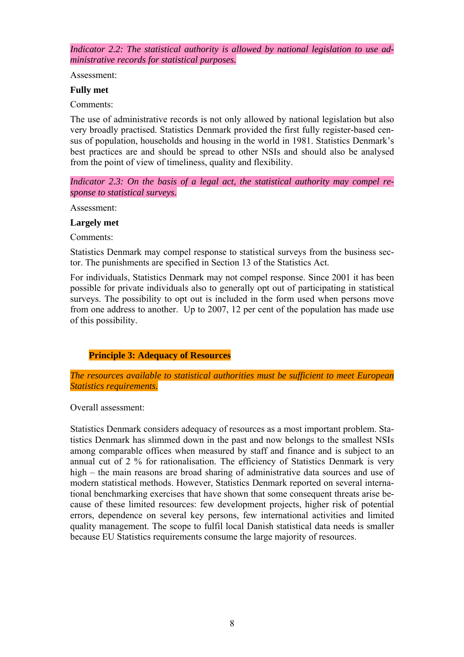*Indicator 2.2: The statistical authority is allowed by national legislation to use administrative records for statistical purposes.* 

Assessment:

#### **Fully met**

Comments:

The use of administrative records is not only allowed by national legislation but also very broadly practised. Statistics Denmark provided the first fully register-based census of population, households and housing in the world in 1981. Statistics Denmark's best practices are and should be spread to other NSIs and should also be analysed from the point of view of timeliness, quality and flexibility.

*Indicator 2.3: On the basis of a legal act, the statistical authority may compel response to statistical surveys.* 

Assessment:

#### **Largely met**

Comments:

Statistics Denmark may compel response to statistical surveys from the business sector. The punishments are specified in Section 13 of the Statistics Act.

For individuals, Statistics Denmark may not compel response. Since 2001 it has been possible for private individuals also to generally opt out of participating in statistical surveys. The possibility to opt out is included in the form used when persons move from one address to another. Up to 2007, 12 per cent of the population has made use of this possibility.

#### **Principle 3: Adequacy of Resources**

<span id="page-7-0"></span>*The resources available to statistical authorities must be sufficient to meet European Statistics requirements.* 

Overall assessment:

Statistics Denmark considers adequacy of resources as a most important problem. Statistics Denmark has slimmed down in the past and now belongs to the smallest NSIs among comparable offices when measured by staff and finance and is subject to an annual cut of 2 % for rationalisation. The efficiency of Statistics Denmark is very high – the main reasons are broad sharing of administrative data sources and use of modern statistical methods. However, Statistics Denmark reported on several international benchmarking exercises that have shown that some consequent threats arise because of these limited resources: few development projects, higher risk of potential errors, dependence on several key persons, few international activities and limited quality management. The scope to fulfil local Danish statistical data needs is smaller because EU Statistics requirements consume the large majority of resources.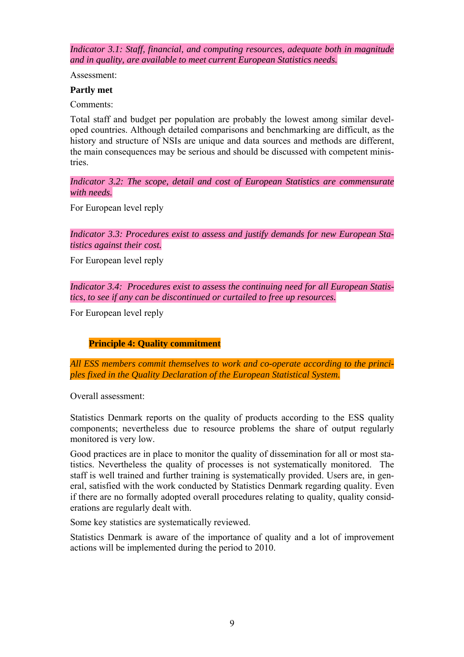*Indicator 3.1: Staff, financial, and computing resources, adequate both in magnitude and in quality, are available to meet current European Statistics needs.* 

Assessment:

#### **Partly met**

Comments:

Total staff and budget per population are probably the lowest among similar developed countries. Although detailed comparisons and benchmarking are difficult, as the history and structure of NSIs are unique and data sources and methods are different, the main consequences may be serious and should be discussed with competent ministries.

*Indicator 3.2: The scope, detail and cost of European Statistics are commensurate with needs.* 

For European level reply

*Indicator 3.3: Procedures exist to assess and justify demands for new European Statistics against their cost.* 

For European level reply

*Indicator 3.4: Procedures exist to assess the continuing need for all European Statistics, to see if any can be discontinued or curtailed to free up resources.* 

<span id="page-8-0"></span>For European level reply

#### **Principle 4: Quality commitment**

*All ESS members commit themselves to work and co-operate according to the principles fixed in the Quality Declaration of the European Statistical System.* 

Overall assessment:

Statistics Denmark reports on the quality of products according to the ESS quality components; nevertheless due to resource problems the share of output regularly monitored is very low.

Good practices are in place to monitor the quality of dissemination for all or most statistics. Nevertheless the quality of processes is not systematically monitored. The staff is well trained and further training is systematically provided. Users are, in general, satisfied with the work conducted by Statistics Denmark regarding quality. Even if there are no formally adopted overall procedures relating to quality, quality considerations are regularly dealt with.

Some key statistics are systematically reviewed.

Statistics Denmark is aware of the importance of quality and a lot of improvement actions will be implemented during the period to 2010.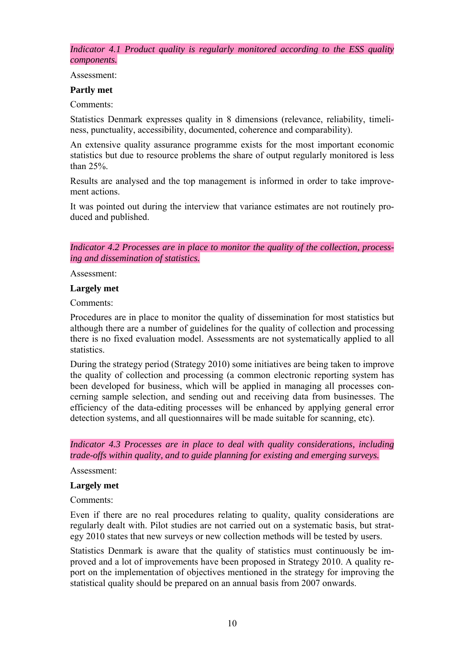*Indicator 4.1 Product quality is regularly monitored according to the ESS quality components.* 

Assessment:

#### **Partly met**

Comments:

Statistics Denmark expresses quality in 8 dimensions (relevance, reliability, timeliness, punctuality, accessibility, documented, coherence and comparability).

An extensive quality assurance programme exists for the most important economic statistics but due to resource problems the share of output regularly monitored is less than 25%.

Results are analysed and the top management is informed in order to take improvement actions.

It was pointed out during the interview that variance estimates are not routinely produced and published.

*Indicator 4.2 Processes are in place to monitor the quality of the collection, processing and dissemination of statistics.* 

Assessment:

## **Largely met**

Comments:

Procedures are in place to monitor the quality of dissemination for most statistics but although there are a number of guidelines for the quality of collection and processing there is no fixed evaluation model. Assessments are not systematically applied to all statistics.

During the strategy period (Strategy 2010) some initiatives are being taken to improve the quality of collection and processing (a common electronic reporting system has been developed for business, which will be applied in managing all processes concerning sample selection, and sending out and receiving data from businesses. The efficiency of the data-editing processes will be enhanced by applying general error detection systems, and all questionnaires will be made suitable for scanning, etc).

*Indicator 4.3 Processes are in place to deal with quality considerations, including trade-offs within quality, and to guide planning for existing and emerging surveys.* 

Assessment:

#### **Largely met**

Comments:

Even if there are no real procedures relating to quality, quality considerations are regularly dealt with. Pilot studies are not carried out on a systematic basis, but strategy 2010 states that new surveys or new collection methods will be tested by users.

Statistics Denmark is aware that the quality of statistics must continuously be improved and a lot of improvements have been proposed in Strategy 2010. A quality report on the implementation of objectives mentioned in the strategy for improving the statistical quality should be prepared on an annual basis from 2007 onwards.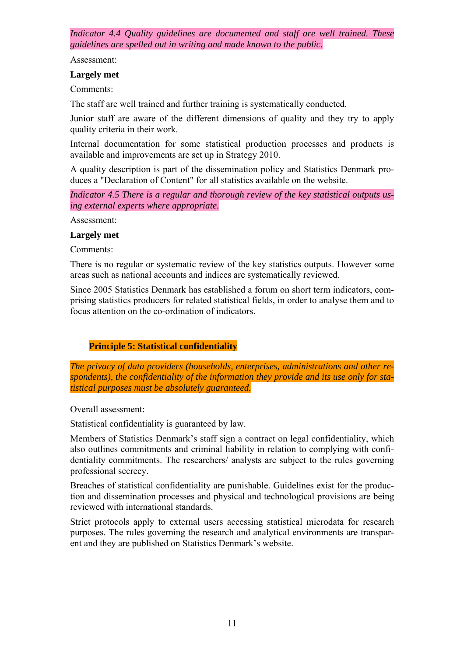*Indicator 4.4 Quality guidelines are documented and staff are well trained. These guidelines are spelled out in writing and made known to the public.* 

Assessment:

#### **Largely met**

Comments:

The staff are well trained and further training is systematically conducted.

Junior staff are aware of the different dimensions of quality and they try to apply quality criteria in their work.

Internal documentation for some statistical production processes and products is available and improvements are set up in Strategy 2010.

A quality description is part of the dissemination policy and Statistics Denmark produces a "Declaration of Content" for all statistics available on the website.

*Indicator 4.5 There is a regular and thorough review of the key statistical outputs using external experts where appropriate.* 

Assessment:

#### **Largely met**

Comments:

There is no regular or systematic review of the key statistics outputs. However some areas such as national accounts and indices are systematically reviewed.

Since 2005 Statistics Denmark has established a forum on short term indicators, comprising statistics producers for related statistical fields, in order to analyse them and to focus attention on the co-ordination of indicators.

## **Principle 5: Statistical confidentiality**

<span id="page-10-0"></span>*The privacy of data providers (households, enterprises, administrations and other respondents), the confidentiality of the information they provide and its use only for statistical purposes must be absolutely guaranteed.* 

Overall assessment:

Statistical confidentiality is guaranteed by law.

Members of Statistics Denmark's staff sign a contract on legal confidentiality, which also outlines commitments and criminal liability in relation to complying with confidentiality commitments. The researchers/ analysts are subject to the rules governing professional secrecy.

Breaches of statistical confidentiality are punishable. Guidelines exist for the production and dissemination processes and physical and technological provisions are being reviewed with international standards.

Strict protocols apply to external users accessing statistical microdata for research purposes. The rules governing the research and analytical environments are transparent and they are published on Statistics Denmark's website.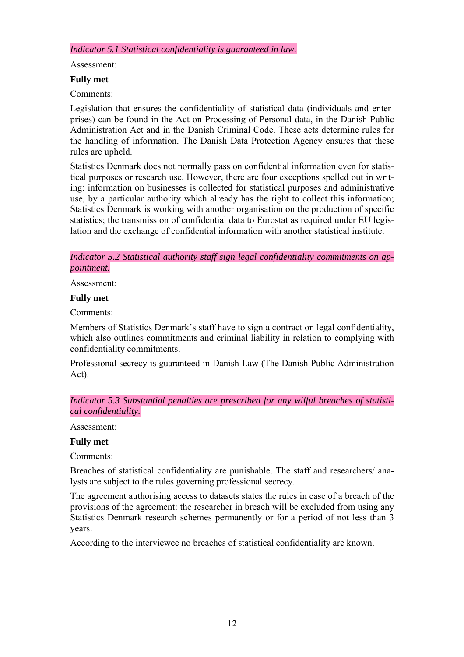*Indicator 5.1 Statistical confidentiality is guaranteed in law.* 

Assessment:

#### **Fully met**

Comments:

Legislation that ensures the confidentiality of statistical data (individuals and enterprises) can be found in the Act on Processing of Personal data, in the Danish Public Administration Act and in the Danish Criminal Code. These acts determine rules for the handling of information. The Danish Data Protection Agency ensures that these rules are upheld.

Statistics Denmark does not normally pass on confidential information even for statistical purposes or research use. However, there are four exceptions spelled out in writing: information on businesses is collected for statistical purposes and administrative use, by a particular authority which already has the right to collect this information; Statistics Denmark is working with another organisation on the production of specific statistics; the transmission of confidential data to Eurostat as required under EU legislation and the exchange of confidential information with another statistical institute.

*Indicator 5.2 Statistical authority staff sign legal confidentiality commitments on appointment.* 

Assessment:

#### **Fully met**

Comments:

Members of Statistics Denmark's staff have to sign a contract on legal confidentiality, which also outlines commitments and criminal liability in relation to complying with confidentiality commitments.

Professional secrecy is guaranteed in Danish Law (The Danish Public Administration Act).

*Indicator 5.3 Substantial penalties are prescribed for any wilful breaches of statistical confidentiality.* 

Assessment:

#### **Fully met**

Comments:

Breaches of statistical confidentiality are punishable. The staff and researchers/ analysts are subject to the rules governing professional secrecy.

The agreement authorising access to datasets states the rules in case of a breach of the provisions of the agreement: the researcher in breach will be excluded from using any Statistics Denmark research schemes permanently or for a period of not less than 3 years.

According to the interviewee no breaches of statistical confidentiality are known.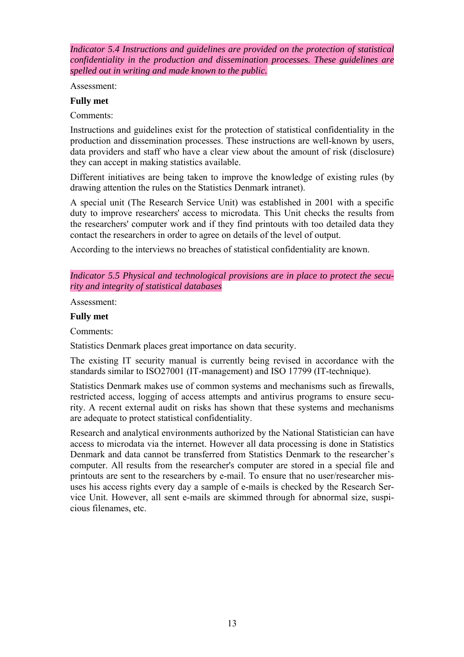*Indicator 5.4 Instructions and guidelines are provided on the protection of statistical confidentiality in the production and dissemination processes. These guidelines are spelled out in writing and made known to the public.* 

Assessment:

#### **Fully met**

Comments:

Instructions and guidelines exist for the protection of statistical confidentiality in the production and dissemination processes. These instructions are well-known by users, data providers and staff who have a clear view about the amount of risk (disclosure) they can accept in making statistics available.

Different initiatives are being taken to improve the knowledge of existing rules (by drawing attention the rules on the Statistics Denmark intranet).

A special unit (The Research Service Unit) was established in 2001 with a specific duty to improve researchers' access to microdata. This Unit checks the results from the researchers' computer work and if they find printouts with too detailed data they contact the researchers in order to agree on details of the level of output.

According to the interviews no breaches of statistical confidentiality are known.

*Indicator 5.5 Physical and technological provisions are in place to protect the security and integrity of statistical databases* 

Assessment:

#### **Fully met**

Comments:

Statistics Denmark places great importance on data security.

The existing IT security manual is currently being revised in accordance with the standards similar to ISO27001 (IT-management) and ISO 17799 (IT-technique).

Statistics Denmark makes use of common systems and mechanisms such as firewalls, restricted access, logging of access attempts and antivirus programs to ensure security. A recent external audit on risks has shown that these systems and mechanisms are adequate to protect statistical confidentiality.

Research and analytical environments authorized by the National Statistician can have access to microdata via the internet. However all data processing is done in Statistics Denmark and data cannot be transferred from Statistics Denmark to the researcher's computer. All results from the researcher's computer are stored in a special file and printouts are sent to the researchers by e-mail. To ensure that no user/researcher misuses his access rights every day a sample of e-mails is checked by the Research Service Unit. However, all sent e-mails are skimmed through for abnormal size, suspicious filenames, etc.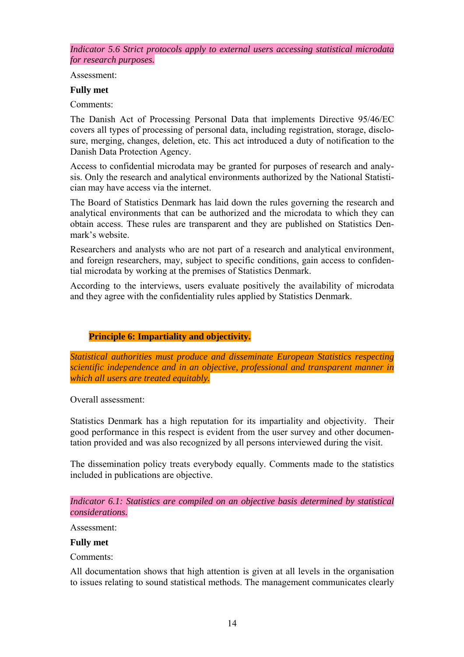*Indicator 5.6 Strict protocols apply to external users accessing statistical microdata for research purposes.* 

Assessment:

#### **Fully met**

Comments:

The Danish Act of Processing Personal Data that implements Directive 95/46/EC covers all types of processing of personal data, including registration, storage, disclosure, merging, changes, deletion, etc. This act introduced a duty of notification to the Danish Data Protection Agency.

Access to confidential microdata may be granted for purposes of research and analysis. Only the research and analytical environments authorized by the National Statistician may have access via the internet.

The Board of Statistics Denmark has laid down the rules governing the research and analytical environments that can be authorized and the microdata to which they can obtain access. These rules are transparent and they are published on Statistics Denmark's website.

Researchers and analysts who are not part of a research and analytical environment, and foreign researchers, may, subject to specific conditions, gain access to confidential microdata by working at the premises of Statistics Denmark.

According to the interviews, users evaluate positively the availability of microdata and they agree with the confidentiality rules applied by Statistics Denmark.

#### **Principle 6: Impartiality and objectivity.**

<span id="page-13-0"></span>*Statistical authorities must produce and disseminate European Statistics respecting scientific independence and in an objective, professional and transparent manner in which all users are treated equitably.* 

Overall assessment:

Statistics Denmark has a high reputation for its impartiality and objectivity. Their good performance in this respect is evident from the user survey and other documentation provided and was also recognized by all persons interviewed during the visit.

The dissemination policy treats everybody equally. Comments made to the statistics included in publications are objective.

*Indicator 6.1: Statistics are compiled on an objective basis determined by statistical considerations.* 

Assessment:

#### **Fully met**

Comments:

All documentation shows that high attention is given at all levels in the organisation to issues relating to sound statistical methods. The management communicates clearly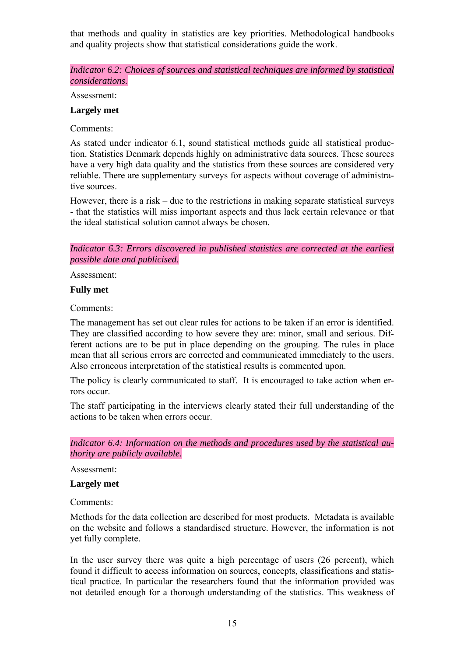that methods and quality in statistics are key priorities. Methodological handbooks and quality projects show that statistical considerations guide the work.

*Indicator 6.2: Choices of sources and statistical techniques are informed by statistical considerations.* 

Assessment:

#### **Largely met**

Comments:

As stated under indicator 6.1, sound statistical methods guide all statistical production. Statistics Denmark depends highly on administrative data sources. These sources have a very high data quality and the statistics from these sources are considered very reliable. There are supplementary surveys for aspects without coverage of administrative sources.

However, there is a risk – due to the restrictions in making separate statistical surveys - that the statistics will miss important aspects and thus lack certain relevance or that the ideal statistical solution cannot always be chosen.

*Indicator 6.3: Errors discovered in published statistics are corrected at the earliest possible date and publicised.* 

Assessment:

#### **Fully met**

Comments:

The management has set out clear rules for actions to be taken if an error is identified. They are classified according to how severe they are: minor, small and serious. Different actions are to be put in place depending on the grouping. The rules in place mean that all serious errors are corrected and communicated immediately to the users. Also erroneous interpretation of the statistical results is commented upon.

The policy is clearly communicated to staff. It is encouraged to take action when errors occur.

The staff participating in the interviews clearly stated their full understanding of the actions to be taken when errors occur.

*Indicator 6.4: Information on the methods and procedures used by the statistical authority are publicly available.* 

Assessment:

**Largely met** 

Comments:

Methods for the data collection are described for most products. Metadata is available on the website and follows a standardised structure. However, the information is not yet fully complete.

In the user survey there was quite a high percentage of users (26 percent), which found it difficult to access information on sources, concepts, classifications and statistical practice. In particular the researchers found that the information provided was not detailed enough for a thorough understanding of the statistics. This weakness of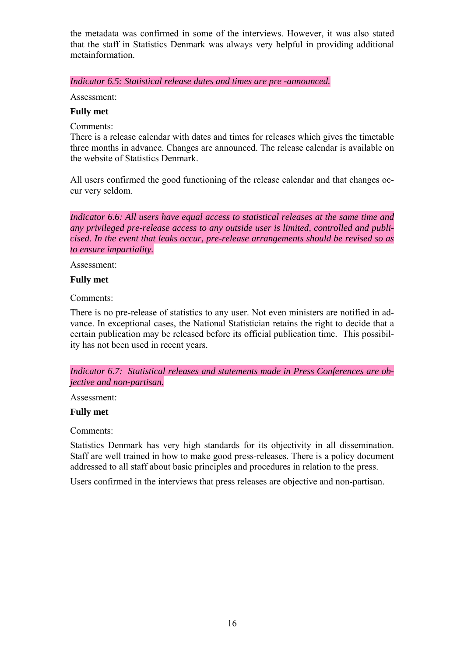the metadata was confirmed in some of the interviews. However, it was also stated that the staff in Statistics Denmark was always very helpful in providing additional metainformation.

*Indicator 6.5: Statistical release dates and times are pre -announced.* 

Assessment:

#### **Fully met**

Comments:

There is a release calendar with dates and times for releases which gives the timetable three months in advance. Changes are announced. The release calendar is available on the website of Statistics Denmark.

All users confirmed the good functioning of the release calendar and that changes occur very seldom.

*Indicator 6.6: All users have equal access to statistical releases at the same time and any privileged pre-release access to any outside user is limited, controlled and publicised. In the event that leaks occur, pre-release arrangements should be revised so as to ensure impartiality.* 

Assessment:

#### **Fully met**

Comments:

There is no pre-release of statistics to any user. Not even ministers are notified in advance. In exceptional cases, the National Statistician retains the right to decide that a certain publication may be released before its official publication time. This possibility has not been used in recent years.

*Indicator 6.7: Statistical releases and statements made in Press Conferences are objective and non-partisan.* 

Assessment:

#### **Fully met**

Comments:

Statistics Denmark has very high standards for its objectivity in all dissemination. Staff are well trained in how to make good press-releases. There is a policy document addressed to all staff about basic principles and procedures in relation to the press.

Users confirmed in the interviews that press releases are objective and non-partisan.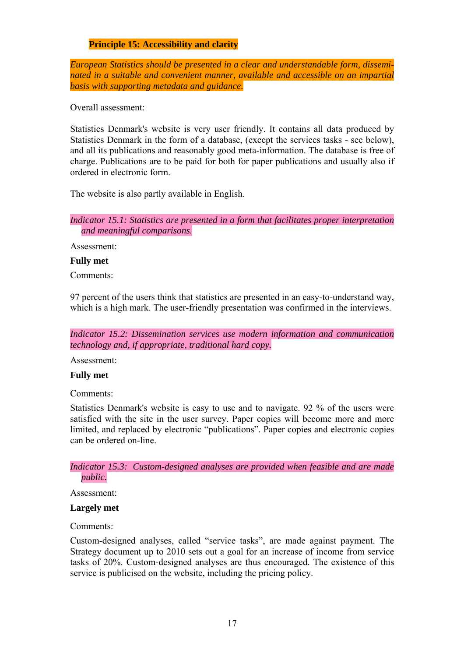#### **Principle 15: Accessibility and clarity**

<span id="page-16-0"></span>*European Statistics should be presented in a clear and understandable form, disseminated in a suitable and convenient manner, available and accessible on an impartial basis with supporting metadata and guidance.* 

Overall assessment:

Statistics Denmark's website is very user friendly. It contains all data produced by Statistics Denmark in the form of a database, (except the services tasks - see below), and all its publications and reasonably good meta-information. The database is free of charge. Publications are to be paid for both for paper publications and usually also if ordered in electronic form.

The website is also partly available in English.

*Indicator 15.1: Statistics are presented in a form that facilitates proper interpretation and meaningful comparisons.* 

Assessment:

#### **Fully met**

Comments:

97 percent of the users think that statistics are presented in an easy-to-understand way, which is a high mark. The user-friendly presentation was confirmed in the interviews.

*Indicator 15.2: Dissemination services use modern information and communication technology and, if appropriate, traditional hard copy.* 

Assessment:

#### **Fully met**

Comments:

Statistics Denmark's website is easy to use and to navigate. 92 % of the users were satisfied with the site in the user survey. Paper copies will become more and more limited, and replaced by electronic "publications". Paper copies and electronic copies can be ordered on-line.

*Indicator 15.3: Custom-designed analyses are provided when feasible and are made public.* 

Assessment:

#### **Largely met**

Comments:

Custom-designed analyses, called "service tasks", are made against payment. The Strategy document up to 2010 sets out a goal for an increase of income from service tasks of 20%. Custom-designed analyses are thus encouraged. The existence of this service is publicised on the website, including the pricing policy.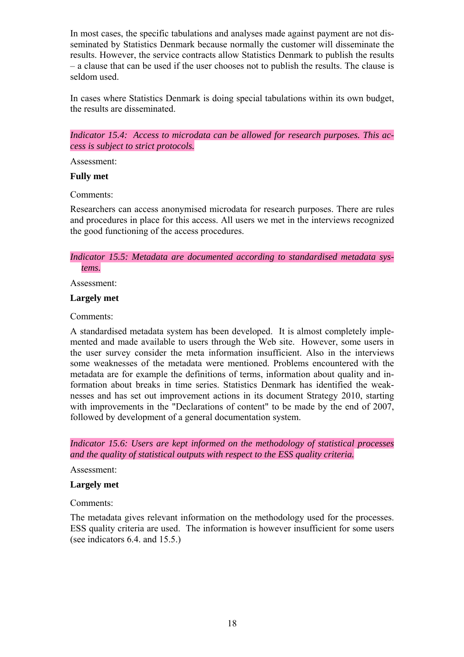In most cases, the specific tabulations and analyses made against payment are not disseminated by Statistics Denmark because normally the customer will disseminate the results. However, the service contracts allow Statistics Denmark to publish the results – a clause that can be used if the user chooses not to publish the results. The clause is seldom used.

In cases where Statistics Denmark is doing special tabulations within its own budget, the results are disseminated.

*Indicator 15.4: Access to microdata can be allowed for research purposes. This access is subject to strict protocols.* 

Assessment:

#### **Fully met**

Comments:

Researchers can access anonymised microdata for research purposes. There are rules and procedures in place for this access. All users we met in the interviews recognized the good functioning of the access procedures.

#### *Indicator 15.5: Metadata are documented according to standardised metadata systems.*

Assessment:

#### **Largely met**

Comments:

A standardised metadata system has been developed. It is almost completely implemented and made available to users through the Web site. However, some users in the user survey consider the meta information insufficient. Also in the interviews some weaknesses of the metadata were mentioned. Problems encountered with the metadata are for example the definitions of terms, information about quality and information about breaks in time series. Statistics Denmark has identified the weaknesses and has set out improvement actions in its document Strategy 2010, starting with improvements in the "Declarations of content" to be made by the end of 2007, followed by development of a general documentation system.

*Indicator 15.6: Users are kept informed on the methodology of statistical processes and the quality of statistical outputs with respect to the ESS quality criteria.* 

Assessment:

#### **Largely met**

Comments:

The metadata gives relevant information on the methodology used for the processes. ESS quality criteria are used. The information is however insufficient for some users (see indicators 6.4. and 15.5.)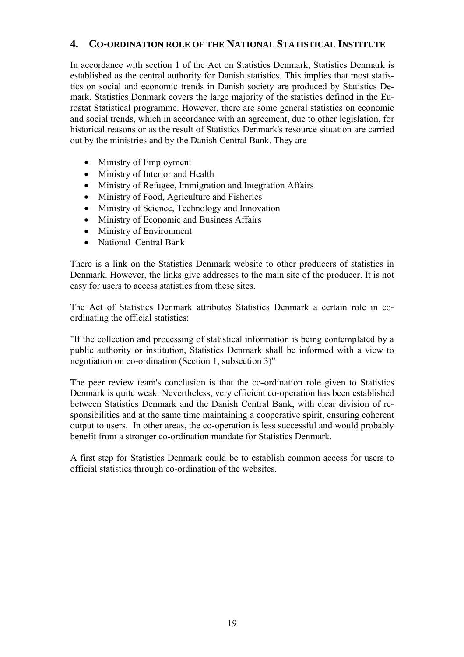## <span id="page-18-0"></span>**4. CO-ORDINATION ROLE OF THE NATIONAL STATISTICAL INSTITUTE**

In accordance with section 1 of the Act on Statistics Denmark, Statistics Denmark is established as the central authority for Danish statistics. This implies that most statistics on social and economic trends in Danish society are produced by Statistics Demark. Statistics Denmark covers the large majority of the statistics defined in the Eurostat Statistical programme. However, there are some general statistics on economic and social trends, which in accordance with an agreement, due to other legislation, for historical reasons or as the result of Statistics Denmark's resource situation are carried out by the ministries and by the Danish Central Bank. They are

- Ministry of Employment
- Ministry of Interior and Health
- Ministry of Refugee, Immigration and Integration Affairs
- Ministry of Food, Agriculture and Fisheries
- Ministry of Science, Technology and Innovation
- Ministry of Economic and Business Affairs
- Ministry of Environment
- National Central Bank

There is a link on the Statistics Denmark website to other producers of statistics in Denmark. However, the links give addresses to the main site of the producer. It is not easy for users to access statistics from these sites.

The Act of Statistics Denmark attributes Statistics Denmark a certain role in coordinating the official statistics:

"If the collection and processing of statistical information is being contemplated by a public authority or institution, Statistics Denmark shall be informed with a view to negotiation on co-ordination (Section 1, subsection 3)"

The peer review team's conclusion is that the co-ordination role given to Statistics Denmark is quite weak. Nevertheless, very efficient co-operation has been established between Statistics Denmark and the Danish Central Bank, with clear division of responsibilities and at the same time maintaining a cooperative spirit, ensuring coherent output to users. In other areas, the co-operation is less successful and would probably benefit from a stronger co-ordination mandate for Statistics Denmark.

A first step for Statistics Denmark could be to establish common access for users to official statistics through co-ordination of the websites.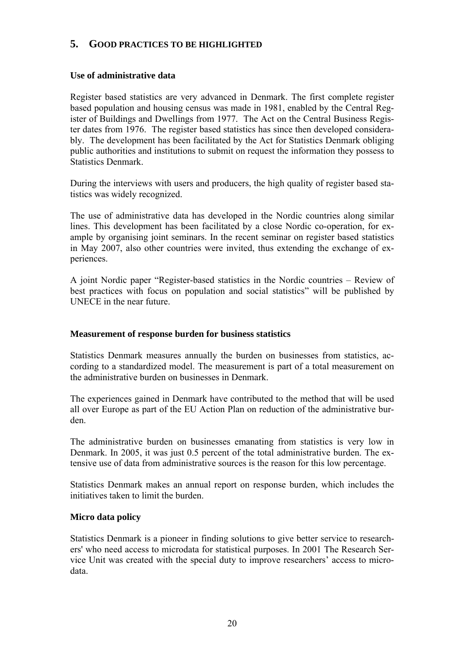## <span id="page-19-0"></span>**5. GOOD PRACTICES TO BE HIGHLIGHTED**

#### **Use of administrative data**

Register based statistics are very advanced in Denmark. The first complete register based population and housing census was made in 1981, enabled by the Central Register of Buildings and Dwellings from 1977. The Act on the Central Business Register dates from 1976. The register based statistics has since then developed considerably. The development has been facilitated by the Act for Statistics Denmark obliging public authorities and institutions to submit on request the information they possess to Statistics Denmark.

During the interviews with users and producers, the high quality of register based statistics was widely recognized.

The use of administrative data has developed in the Nordic countries along similar lines. This development has been facilitated by a close Nordic co-operation, for example by organising joint seminars. In the recent seminar on register based statistics in May 2007, also other countries were invited, thus extending the exchange of experiences.

A joint Nordic paper "Register-based statistics in the Nordic countries – Review of best practices with focus on population and social statistics" will be published by UNECE in the near future.

#### **Measurement of response burden for business statistics**

Statistics Denmark measures annually the burden on businesses from statistics, according to a standardized model. The measurement is part of a total measurement on the administrative burden on businesses in Denmark.

The experiences gained in Denmark have contributed to the method that will be used all over Europe as part of the EU Action Plan on reduction of the administrative burden.

The administrative burden on businesses emanating from statistics is very low in Denmark. In 2005, it was just 0.5 percent of the total administrative burden. The extensive use of data from administrative sources is the reason for this low percentage.

Statistics Denmark makes an annual report on response burden, which includes the initiatives taken to limit the burden.

#### **Micro data policy**

Statistics Denmark is a pioneer in finding solutions to give better service to researchers' who need access to microdata for statistical purposes. In 2001 The Research Service Unit was created with the special duty to improve researchers' access to microdata.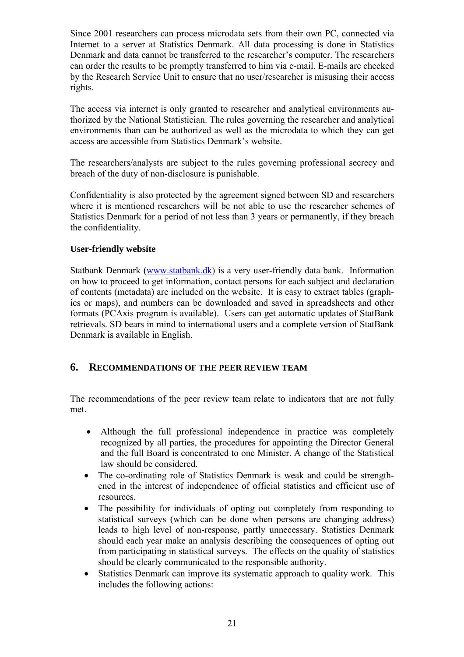Since 2001 researchers can process microdata sets from their own PC, connected via Internet to a server at Statistics Denmark. All data processing is done in Statistics Denmark and data cannot be transferred to the researcher's computer. The researchers can order the results to be promptly transferred to him via e-mail. E-mails are checked by the Research Service Unit to ensure that no user/researcher is misusing their access rights.

The access via internet is only granted to researcher and analytical environments authorized by the National Statistician. The rules governing the researcher and analytical environments than can be authorized as well as the microdata to which they can get access are accessible from Statistics Denmark's website.

The researchers/analysts are subject to the rules governing professional secrecy and breach of the duty of non-disclosure is punishable.

Confidentiality is also protected by the agreement signed between SD and researchers where it is mentioned researchers will be not able to use the researcher schemes of Statistics Denmark for a period of not less than 3 years or permanently, if they breach the confidentiality.

#### **User-friendly website**

Statbank Denmark [\(www.statbank.dk\)](http://www.statbank.dk/) is a very user-friendly data bank. Information on how to proceed to get information, contact persons for each subject and declaration of contents (metadata) are included on the website. It is easy to extract tables (graphics or maps), and numbers can be downloaded and saved in spreadsheets and other formats (PCAxis program is available). Users can get automatic updates of StatBank retrievals. SD bears in mind to international users and a complete version of StatBank Denmark is available in English.

## <span id="page-20-0"></span>**6. RECOMMENDATIONS OF THE PEER REVIEW TEAM**

The recommendations of the peer review team relate to indicators that are not fully met.

- Although the full professional independence in practice was completely recognized by all parties, the procedures for appointing the Director General and the full Board is concentrated to one Minister. A change of the Statistical law should be considered.
- The co-ordinating role of Statistics Denmark is weak and could be strengthened in the interest of independence of official statistics and efficient use of resources.
- The possibility for individuals of opting out completely from responding to statistical surveys (which can be done when persons are changing address) leads to high level of non-response, partly unnecessary. Statistics Denmark should each year make an analysis describing the consequences of opting out from participating in statistical surveys. The effects on the quality of statistics should be clearly communicated to the responsible authority.
- Statistics Denmark can improve its systematic approach to quality work. This includes the following actions: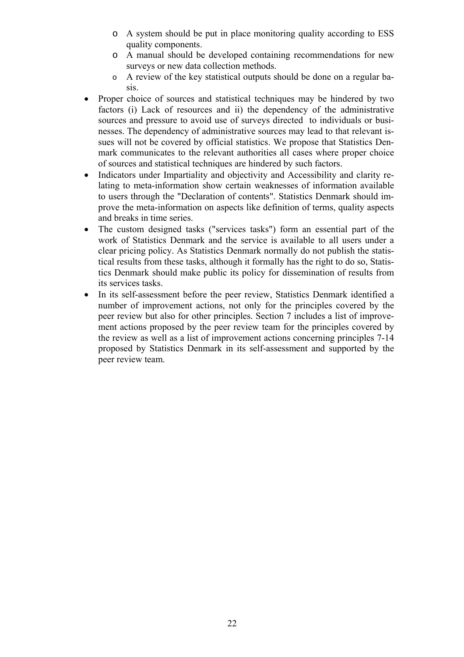- o A system should be put in place monitoring quality according to ESS quality components.
- o A manual should be developed containing recommendations for new surveys or new data collection methods.
- o A review of the key statistical outputs should be done on a regular basis.
- Proper choice of sources and statistical techniques may be hindered by two factors (i) Lack of resources and ii) the dependency of the administrative sources and pressure to avoid use of surveys directed to individuals or businesses. The dependency of administrative sources may lead to that relevant issues will not be covered by official statistics. We propose that Statistics Denmark communicates to the relevant authorities all cases where proper choice of sources and statistical techniques are hindered by such factors.
- Indicators under Impartiality and objectivity and Accessibility and clarity relating to meta-information show certain weaknesses of information available to users through the "Declaration of contents". Statistics Denmark should improve the meta-information on aspects like definition of terms, quality aspects and breaks in time series.
- The custom designed tasks ("services tasks") form an essential part of the work of Statistics Denmark and the service is available to all users under a clear pricing policy. As Statistics Denmark normally do not publish the statistical results from these tasks, although it formally has the right to do so, Statistics Denmark should make public its policy for dissemination of results from its services tasks.
- In its self-assessment before the peer review, Statistics Denmark identified a number of improvement actions, not only for the principles covered by the peer review but also for other principles. Section 7 includes a list of improvement actions proposed by the peer review team for the principles covered by the review as well as a list of improvement actions concerning principles 7-14 proposed by Statistics Denmark in its self-assessment and supported by the peer review team.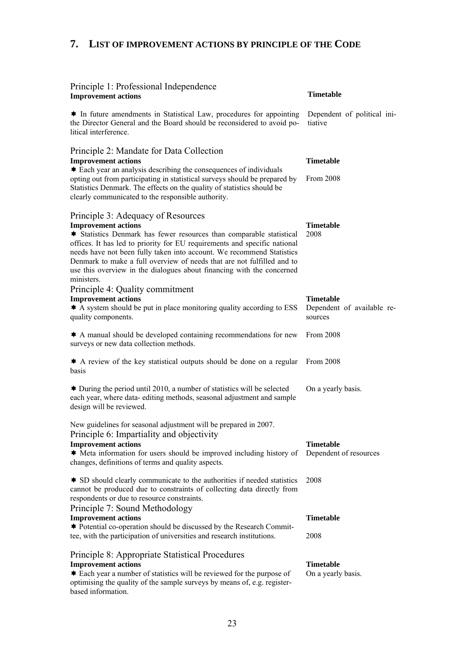## <span id="page-22-0"></span>**7. LIST OF IMPROVEMENT ACTIONS BY PRINCIPLE OF THE CODE**

| Principle 1: Professional Independence<br><b>Improvement actions</b>                                                                                                                                                                                                                                                                                                                                                                                            | <b>Timetable</b>                                          |
|-----------------------------------------------------------------------------------------------------------------------------------------------------------------------------------------------------------------------------------------------------------------------------------------------------------------------------------------------------------------------------------------------------------------------------------------------------------------|-----------------------------------------------------------|
| * In future amendments in Statistical Law, procedures for appointing<br>the Director General and the Board should be reconsidered to avoid po-<br>litical interference.                                                                                                                                                                                                                                                                                         | Dependent of political ini-<br>tiative                    |
| Principle 2: Mandate for Data Collection<br><b>Improvement actions</b><br>Each year an analysis describing the consequences of individuals<br>opting out from participating in statistical surveys should be prepared by<br>Statistics Denmark. The effects on the quality of statistics should be<br>clearly communicated to the responsible authority.                                                                                                        | <b>Timetable</b><br>From 2008                             |
| Principle 3: Adequacy of Resources<br><b>Improvement actions</b><br>* Statistics Denmark has fewer resources than comparable statistical<br>offices. It has led to priority for EU requirements and specific national<br>needs have not been fully taken into account. We recommend Statistics<br>Denmark to make a full overview of needs that are not fulfilled and to<br>use this overview in the dialogues about financing with the concerned<br>ministers. | <b>Timetable</b><br>2008                                  |
| Principle 4: Quality commitment<br><b>Improvement actions</b><br>A system should be put in place monitoring quality according to ESS<br>quality components.                                                                                                                                                                                                                                                                                                     | <b>Timetable</b><br>Dependent of available re-<br>sources |
| $\triangle$ A manual should be developed containing recommendations for new<br>surveys or new data collection methods.                                                                                                                                                                                                                                                                                                                                          | From 2008                                                 |
| $\triangle$ A review of the key statistical outputs should be done on a regular<br>basis                                                                                                                                                                                                                                                                                                                                                                        | From 2008                                                 |
| $\triangle$ During the period until 2010, a number of statistics will be selected<br>each year, where data-editing methods, seasonal adjustment and sample<br>design will be reviewed.                                                                                                                                                                                                                                                                          | On a yearly basis.                                        |
| New guidelines for seasonal adjustment will be prepared in 2007.<br>Principle 6: Impartiality and objectivity<br><b>Improvement actions</b><br>★ Meta information for users should be improved including history of<br>changes, definitions of terms and quality aspects.<br><b>★ SD</b> should clearly communicate to the authorities if needed statistics                                                                                                     | <b>Timetable</b><br>Dependent of resources<br>2008        |
| cannot be produced due to constraints of collecting data directly from<br>respondents or due to resource constraints.<br>Principle 7: Sound Methodology<br><b>Improvement actions</b>                                                                                                                                                                                                                                                                           | <b>Timetable</b>                                          |
| <b>★ Potential co-operation should be discussed by the Research Commit-</b><br>tee, with the participation of universities and research institutions.                                                                                                                                                                                                                                                                                                           | 2008                                                      |
| Principle 8: Appropriate Statistical Procedures<br><b>Improvement actions</b><br>* Each year a number of statistics will be reviewed for the purpose of<br>optimising the quality of the sample surveys by means of, e.g. register-<br>based information.                                                                                                                                                                                                       | <b>Timetable</b><br>On a yearly basis.                    |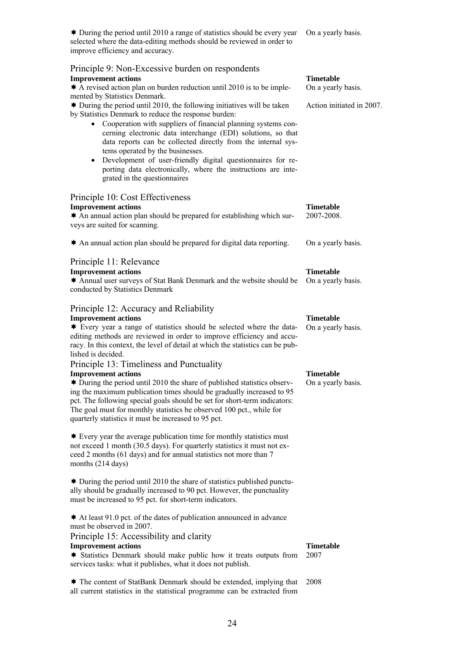★ During the period until 2010 a range of statistics should be every year On a yearly basis. selected where the data-editing methods should be reviewed in order to improve efficiency and accuracy.

| Principle 9: Non-Excessive burden on respondents<br><b>Improvement actions</b><br>$\triangle$ A revised action plan on burden reduction until 2010 is to be imple-<br>mented by Statistics Denmark.<br>$\triangleq$ During the period until 2010, the following initiatives will be taken<br>by Statistics Denmark to reduce the response burden:<br>• Cooperation with suppliers of financial planning systems con-<br>cerning electronic data interchange (EDI) solutions, so that<br>data reports can be collected directly from the internal sys-<br>tems operated by the businesses.<br>Development of user-friendly digital questionnaires for re-<br>$\bullet$<br>porting data electronically, where the instructions are inte-<br>grated in the questionnaires | <b>Timetable</b><br>On a yearly basis.<br>Action initiated in 2007. |
|------------------------------------------------------------------------------------------------------------------------------------------------------------------------------------------------------------------------------------------------------------------------------------------------------------------------------------------------------------------------------------------------------------------------------------------------------------------------------------------------------------------------------------------------------------------------------------------------------------------------------------------------------------------------------------------------------------------------------------------------------------------------|---------------------------------------------------------------------|
| Principle 10: Cost Effectiveness<br><b>Improvement actions</b><br>* An annual action plan should be prepared for establishing which sur-<br>veys are suited for scanning.                                                                                                                                                                                                                                                                                                                                                                                                                                                                                                                                                                                              | <b>Timetable</b><br>2007-2008.                                      |
| An annual action plan should be prepared for digital data reporting.                                                                                                                                                                                                                                                                                                                                                                                                                                                                                                                                                                                                                                                                                                   | On a yearly basis.                                                  |
| Principle 11: Relevance<br><b>Improvement actions</b><br><b>★ Annual user surveys of Stat Bank Denmark and the website should be</b><br>conducted by Statistics Denmark                                                                                                                                                                                                                                                                                                                                                                                                                                                                                                                                                                                                | <b>Timetable</b><br>On a yearly basis.                              |
| Principle 12: Accuracy and Reliability<br><b>Improvement actions</b><br>Every year a range of statistics should be selected where the data-<br>editing methods are reviewed in order to improve efficiency and accu-<br>racy. In this context, the level of detail at which the statistics can be pub-<br>lished is decided.                                                                                                                                                                                                                                                                                                                                                                                                                                           | <b>Timetable</b><br>On a yearly basis.                              |
| Principle 13: Timeliness and Punctuality<br><b>Improvement actions</b><br>★ During the period until 2010 the share of published statistics observ-<br>ing the maximum publication times should be gradually increased to 95<br>pct. The following special goals should be set for short-term indicators:<br>The goal must for monthly statistics be observed 100 pct., while for<br>quarterly statistics it must be increased to 95 pct.                                                                                                                                                                                                                                                                                                                               | <b>Timetable</b><br>On a yearly basis.                              |
| $\triangleq$ Every year the average publication time for monthly statistics must<br>not exceed 1 month (30.5 days). For quarterly statistics it must not ex-<br>ceed 2 months (61 days) and for annual statistics not more than 7<br>months (214 days)                                                                                                                                                                                                                                                                                                                                                                                                                                                                                                                 |                                                                     |
| $\triangleq$ During the period until 2010 the share of statistics published punctu-<br>ally should be gradually increased to 90 pct. However, the punctuality<br>must be increased to 95 pct. for short-term indicators.                                                                                                                                                                                                                                                                                                                                                                                                                                                                                                                                               |                                                                     |
| $\triangleq$ At least 91.0 pct. of the dates of publication announced in advance<br>must be observed in 2007.<br>Principle 15: Accessibility and clarity<br><b>Improvement actions</b><br>* Statistics Denmark should make public how it treats outputs from<br>services tasks: what it publishes, what it does not publish.                                                                                                                                                                                                                                                                                                                                                                                                                                           | <b>Timetable</b><br>2007                                            |
|                                                                                                                                                                                                                                                                                                                                                                                                                                                                                                                                                                                                                                                                                                                                                                        |                                                                     |

★ The content of StatBank Denmark should be extended, implying that 2008 all current statistics in the statistical programme can be extracted from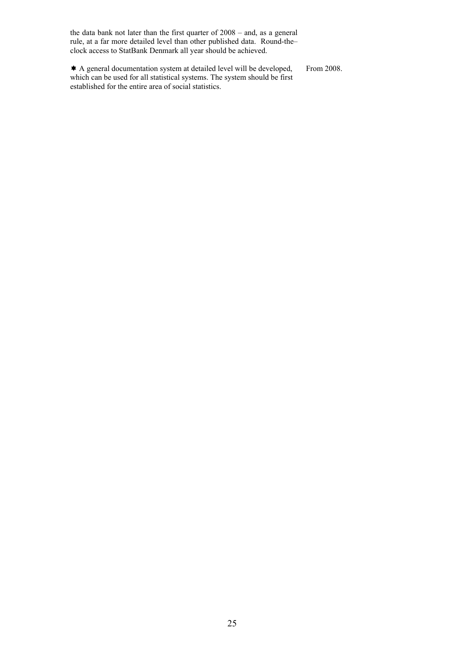the data bank not later than the first quarter of 2008 – and, as a general rule, at a far more detailed level than other published data. Round-the– clock access to StatBank Denmark all year should be achieved.

\* A general documentation system at detailed level will be developed, which can be used for all statistical systems. The system should be first established for the entire area of social statistics. From 2008.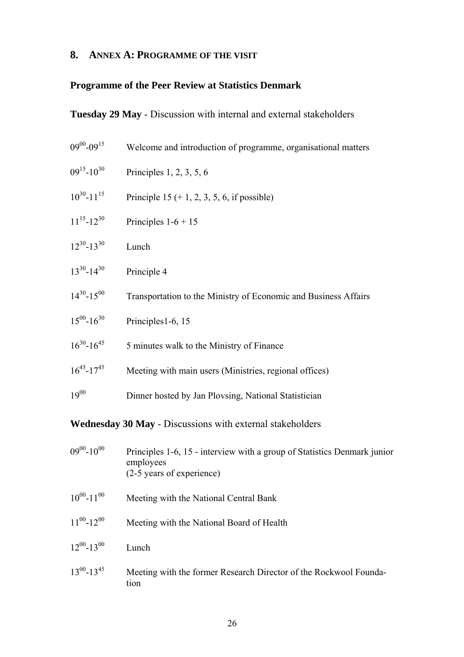## <span id="page-25-0"></span>**8. ANNEX A: PROGRAMME OF THE VISIT**

## **Programme of the Peer Review at Statistics Denmark**

## **Tuesday 29 May** - Discussion with internal and external stakeholders

| $09^{00} - 09^{15}$                                       | Welcome and introduction of programme, organisational matters                                                      |  |  |  |
|-----------------------------------------------------------|--------------------------------------------------------------------------------------------------------------------|--|--|--|
| $09^{15} - 10^{30}$                                       | Principles $1, 2, 3, 5, 6$                                                                                         |  |  |  |
| $10^{30} - 11^{15}$                                       | Principle 15 $(+ 1, 2, 3, 5, 6, i$ f possible)                                                                     |  |  |  |
| $11^{15} - 12^{30}$                                       | Principles $1-6+15$                                                                                                |  |  |  |
| $12^{30} - 13^{30}$                                       | Lunch                                                                                                              |  |  |  |
| $13^{30} - 14^{30}$                                       | Principle 4                                                                                                        |  |  |  |
| $14^{30} - 15^{00}$                                       | Transportation to the Ministry of Economic and Business Affairs                                                    |  |  |  |
| $15^{00} - 16^{30}$                                       | Principles1-6, 15                                                                                                  |  |  |  |
| $16^{30} - 16^{45}$                                       | 5 minutes walk to the Ministry of Finance                                                                          |  |  |  |
| $16^{45} - 17^{45}$                                       | Meeting with main users (Ministries, regional offices)                                                             |  |  |  |
| $19^{00}$                                                 | Dinner hosted by Jan Plovsing, National Statistician                                                               |  |  |  |
| Wednesday 30 May - Discussions with external stakeholders |                                                                                                                    |  |  |  |
| $09^{00} - 10^{00}$                                       | Principles 1-6, 15 - interview with a group of Statistics Denmark junior<br>employees<br>(2-5 years of experience) |  |  |  |
| $10^{00}$ - $11^{00}$                                     | Meeting with the National Central Bank                                                                             |  |  |  |
| $11^{00} - 12^{00}$                                       | Meeting with the National Board of Health                                                                          |  |  |  |
| $12^{00} - 13^{00}$                                       | Lunch                                                                                                              |  |  |  |
| $13^{00} - 13^{45}$                                       | Meeting with the former Research Director of the Rockwool Founda-<br>tion                                          |  |  |  |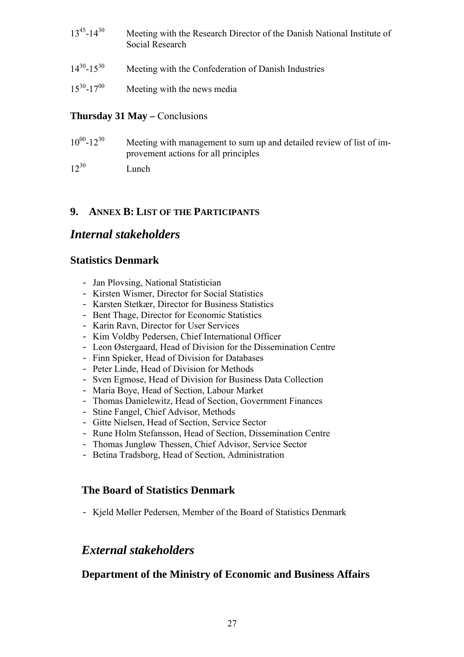- 13<sup>45</sup>-14<sup>30</sup> Meeting with the Research Director of the Danish National Institute of Social Research
- $14^{30}$ -15<sup>30</sup> Meeting with the Confederation of Danish Industries
- $15^{30}$ -17<sup>00</sup> Meeting with the news media

### **Thursday 31 May – Conclusions**

- $10^{00}$ -12<sup>30</sup> Meeting with management to sum up and detailed review of list of improvement actions for all principles
- $12^{30}$  Lunch

## <span id="page-26-0"></span>**9. ANNEX B: LIST OF THE PARTICIPANTS**

## *Internal stakeholders*

## **Statistics Denmark**

- Jan Plovsing, National Statistician
- Kirsten Wismer, Director for Social Statistics
- Karsten Stetkær, Director for Business Statistics
- Bent Thage, Director for Economic Statistics
- Karin Ravn, Director for User Services
- Kim Voldby Pedersen, Chief International Officer
- Leon Østergaard, Head of Division for the Dissemination Centre
- Finn Spieker, Head of Division for Databases
- Peter Linde, Head of Division for Methods
- Sven Egmose, Head of Division for Business Data Collection
- Maria Boye, Head of Section, Labour Market
- Thomas Danielewitz, Head of Section, Government Finances
- Stine Fangel, Chief Advisor, Methods
- Gitte Nielsen, Head of Section, Service Sector
- Rune Holm Stefansson, Head of Section, Dissemination Centre
- Thomas Jungløw Thessen, Chief Advisor, Service Sector
- Betina Tradsborg, Head of Section, Administration

## **The Board of Statistics Denmark**

- Kjeld Møller Pedersen, Member of the Board of Statistics Denmark

## *External stakeholders*

## **Department of the Ministry of Economic and Business Affairs**